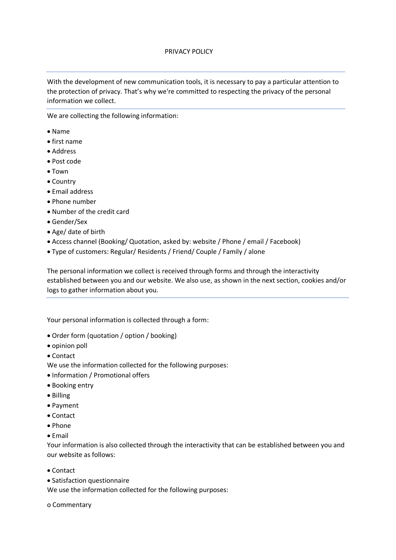## PRIVACY POLICY

With the development of new communication tools, it is necessary to pay a particular attention to the protection of privacy. That's why we're committed to respecting the privacy of the personal information we collect.

We are collecting the following information:

- Name
- first name
- Address
- Post code
- Town
- Country
- Email address
- Phone number
- Number of the credit card
- Gender/Sex
- Age/ date of birth
- Access channel (Booking/ Quotation, asked by: website / Phone / email / Facebook)
- Type of customers: Regular/ Residents / Friend/ Couple / Family / alone

The personal information we collect is received through forms and through the interactivity established between you and our website. We also use, as shown in the next section, cookies and/or logs to gather information about you.

Your personal information is collected through a form:

- Order form (quotation / option / booking)
- opinion poll
- Contact

We use the information collected for the following purposes:

- Information / Promotional offers
- Booking entry
- Billing
- Payment
- Contact
- Phone
- Email

Your information is also collected through the interactivity that can be established between you and our website as follows:

- Contact
- Satisfaction questionnaire

We use the information collected for the following purposes:

o Commentary